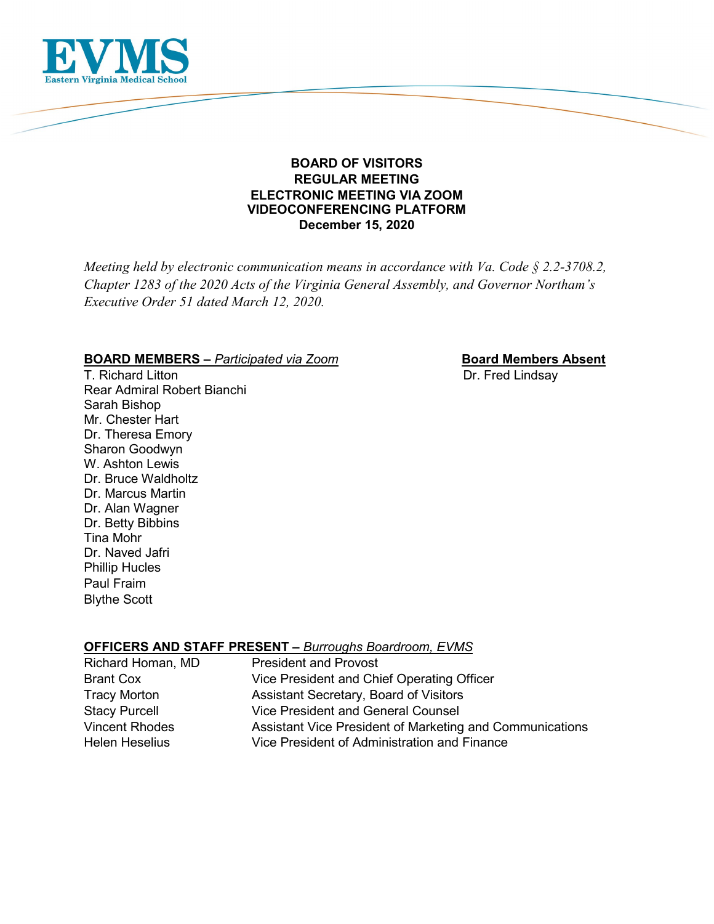

# **BOARD OF VISITORS REGULAR MEETING ELECTRONIC MEETING VIA ZOOM VIDEOCONFERENCING PLATFORM December 15, 2020**

*Meeting held by electronic communication means in accordance with Va. Code § 2.2-3708.2, Chapter 1283 of the 2020 Acts of the Virginia General Assembly, and Governor Northam's Executive Order 51 dated March 12, 2020.*

# **BOARD MEMBERS** – *Participated via Zoom* **Board Members Absent**

T. Richard Litton **T. Richard Litton** Rear Admiral Robert Bianchi Sarah Bishop Mr. Chester Hart Dr. Theresa Emory Sharon Goodwyn W. Ashton Lewis Dr. Bruce Waldholtz Dr. Marcus Martin Dr. Alan Wagner Dr. Betty Bibbins Tina Mohr Dr. Naved Jafri Phillip Hucles Paul Fraim Blythe Scott

**OFFICERS AND STAFF PRESENT –** *Burroughs Boardroom, EVMS*

| Richard Homan, MD     | <b>President and Provost</b>                             |
|-----------------------|----------------------------------------------------------|
| <b>Brant Cox</b>      | Vice President and Chief Operating Officer               |
| <b>Tracy Morton</b>   | Assistant Secretary, Board of Visitors                   |
| <b>Stacy Purcell</b>  | <b>Vice President and General Counsel</b>                |
| <b>Vincent Rhodes</b> | Assistant Vice President of Marketing and Communications |
| Helen Heselius        | Vice President of Administration and Finance             |
|                       |                                                          |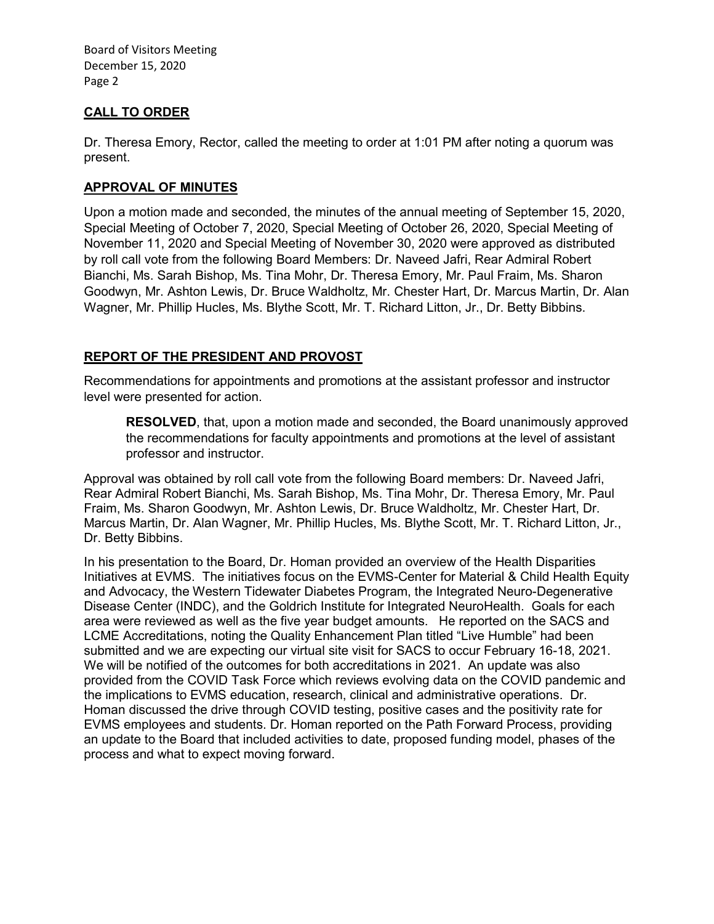# **CALL TO ORDER**

Dr. Theresa Emory, Rector, called the meeting to order at 1:01 PM after noting a quorum was present.

# **APPROVAL OF MINUTES**

Upon a motion made and seconded, the minutes of the annual meeting of September 15, 2020, Special Meeting of October 7, 2020, Special Meeting of October 26, 2020, Special Meeting of November 11, 2020 and Special Meeting of November 30, 2020 were approved as distributed by roll call vote from the following Board Members: Dr. Naveed Jafri, Rear Admiral Robert Bianchi, Ms. Sarah Bishop, Ms. Tina Mohr, Dr. Theresa Emory, Mr. Paul Fraim, Ms. Sharon Goodwyn, Mr. Ashton Lewis, Dr. Bruce Waldholtz, Mr. Chester Hart, Dr. Marcus Martin, Dr. Alan Wagner, Mr. Phillip Hucles, Ms. Blythe Scott, Mr. T. Richard Litton, Jr., Dr. Betty Bibbins.

# **REPORT OF THE PRESIDENT AND PROVOST**

Recommendations for appointments and promotions at the assistant professor and instructor level were presented for action.

**RESOLVED**, that, upon a motion made and seconded, the Board unanimously approved the recommendations for faculty appointments and promotions at the level of assistant professor and instructor.

Approval was obtained by roll call vote from the following Board members: Dr. Naveed Jafri, Rear Admiral Robert Bianchi, Ms. Sarah Bishop, Ms. Tina Mohr, Dr. Theresa Emory, Mr. Paul Fraim, Ms. Sharon Goodwyn, Mr. Ashton Lewis, Dr. Bruce Waldholtz, Mr. Chester Hart, Dr. Marcus Martin, Dr. Alan Wagner, Mr. Phillip Hucles, Ms. Blythe Scott, Mr. T. Richard Litton, Jr., Dr. Betty Bibbins.

In his presentation to the Board, Dr. Homan provided an overview of the Health Disparities Initiatives at EVMS. The initiatives focus on the EVMS-Center for Material & Child Health Equity and Advocacy, the Western Tidewater Diabetes Program, the Integrated Neuro-Degenerative Disease Center (INDC), and the Goldrich Institute for Integrated NeuroHealth. Goals for each area were reviewed as well as the five year budget amounts. He reported on the SACS and LCME Accreditations, noting the Quality Enhancement Plan titled "Live Humble" had been submitted and we are expecting our virtual site visit for SACS to occur February 16-18, 2021. We will be notified of the outcomes for both accreditations in 2021. An update was also provided from the COVID Task Force which reviews evolving data on the COVID pandemic and the implications to EVMS education, research, clinical and administrative operations. Dr. Homan discussed the drive through COVID testing, positive cases and the positivity rate for EVMS employees and students. Dr. Homan reported on the Path Forward Process, providing an update to the Board that included activities to date, proposed funding model, phases of the process and what to expect moving forward.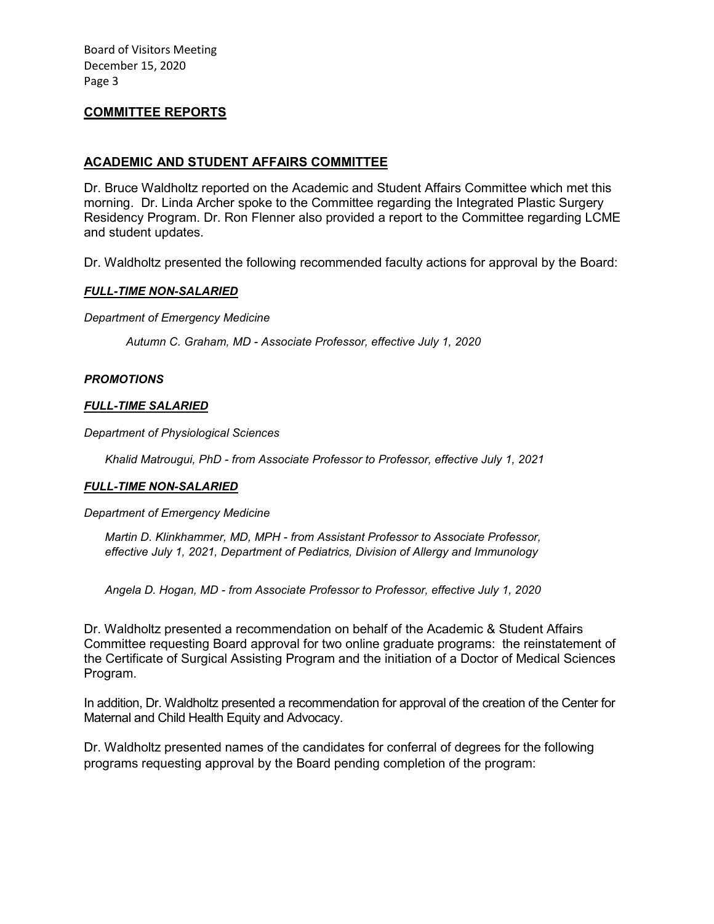#### **COMMITTEE REPORTS**

#### **ACADEMIC AND STUDENT AFFAIRS COMMITTEE**

Dr. Bruce Waldholtz reported on the Academic and Student Affairs Committee which met this morning. Dr. Linda Archer spoke to the Committee regarding the Integrated Plastic Surgery Residency Program. Dr. Ron Flenner also provided a report to the Committee regarding LCME and student updates.

Dr. Waldholtz presented the following recommended faculty actions for approval by the Board:

#### *FULL-TIME NON-SALARIED*

*Department of Emergency Medicine* 

*Autumn C. Graham, MD - Associate Professor, effective July 1, 2020*

#### *PROMOTIONS*

#### *FULL-TIME SALARIED*

*Department of Physiological Sciences*

*Khalid Matrougui, PhD - from Associate Professor to Professor, effective July 1, 2021*

#### *FULL-TIME NON-SALARIED*

#### *Department of Emergency Medicine*

*Martin D. Klinkhammer, MD, MPH - from Assistant Professor to Associate Professor, effective July 1, 2021, Department of Pediatrics, Division of Allergy and Immunology* 

*Angela D. Hogan, MD - from Associate Professor to Professor, effective July 1, 2020*

Dr. Waldholtz presented a recommendation on behalf of the Academic & Student Affairs Committee requesting Board approval for two online graduate programs: the reinstatement of the Certificate of Surgical Assisting Program and the initiation of a Doctor of Medical Sciences Program.

In addition, Dr. Waldholtz presented a recommendation for approval of the creation of the Center for Maternal and Child Health Equity and Advocacy.

Dr. Waldholtz presented names of the candidates for conferral of degrees for the following programs requesting approval by the Board pending completion of the program: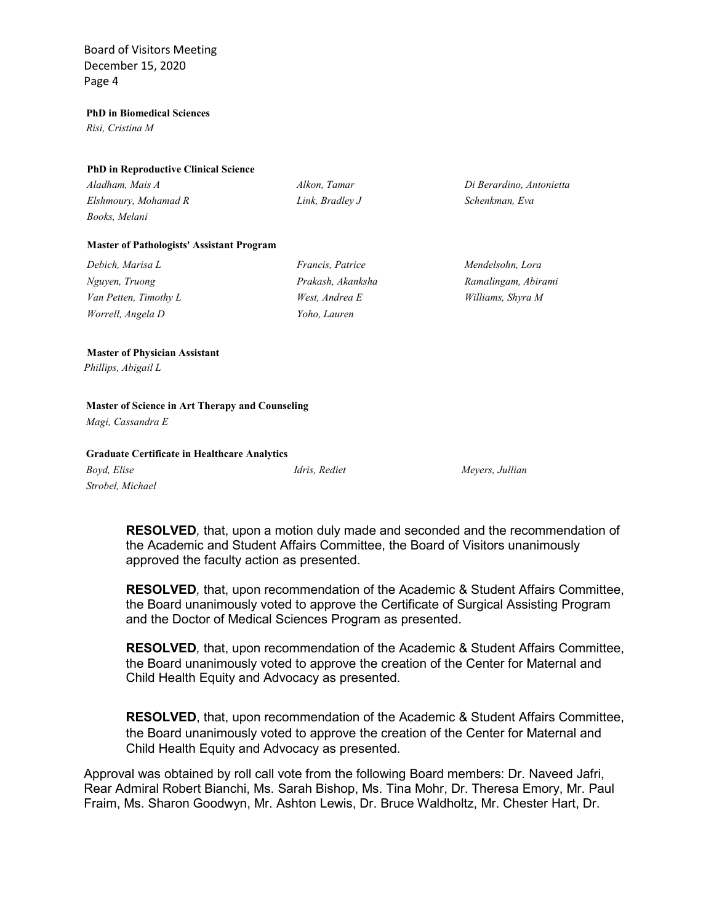#### **PhD in Biomedical Sciences**

*Risi, Cristina M*

#### **PhD in Reproductive Clinical Science**

| Aladham, Mais A      | Alkon. Tamar    | Di Berardino, Antonietta |
|----------------------|-----------------|--------------------------|
| Elshmoury, Mohamad R | Link, Bradlev J | Schenkman, Eva           |
| Books, Melani        |                 |                          |

#### **Master of Pathologists' Assistant Program**

| Debich, Marisa L      | <i>Francis, Patrice</i> | Mendelsohn, Lora    |
|-----------------------|-------------------------|---------------------|
| Nguyen, Truong        | Prakash, Akanksha       | Ramalingam, Abirami |
| Van Petten, Timothy L | West, Andrea E          | Williams, Shyra M   |
| Worrell, Angela D     | Yoho, Lauren            |                     |

#### **Master of Physician Assistant**

*Phillips, Abigail L*

#### **Master of Science in Art Therapy and Counseling**

*Magi, Cassandra E*

#### **Graduate Certificate in Healthcare Analytics**

*Boyd, Elise Idris, Rediet Meyers, Jullian Strobel, Michael*

**RESOLVED***,* that, upon a motion duly made and seconded and the recommendation of the Academic and Student Affairs Committee, the Board of Visitors unanimously approved the faculty action as presented.

**RESOLVED***,* that, upon recommendation of the Academic & Student Affairs Committee, the Board unanimously voted to approve the Certificate of Surgical Assisting Program and the Doctor of Medical Sciences Program as presented.

**RESOLVED***,* that, upon recommendation of the Academic & Student Affairs Committee, the Board unanimously voted to approve the creation of the Center for Maternal and Child Health Equity and Advocacy as presented.

**RESOLVED**, that, upon recommendation of the Academic & Student Affairs Committee, the Board unanimously voted to approve the creation of the Center for Maternal and Child Health Equity and Advocacy as presented.

Approval was obtained by roll call vote from the following Board members: Dr. Naveed Jafri, Rear Admiral Robert Bianchi, Ms. Sarah Bishop, Ms. Tina Mohr, Dr. Theresa Emory, Mr. Paul Fraim, Ms. Sharon Goodwyn, Mr. Ashton Lewis, Dr. Bruce Waldholtz, Mr. Chester Hart, Dr.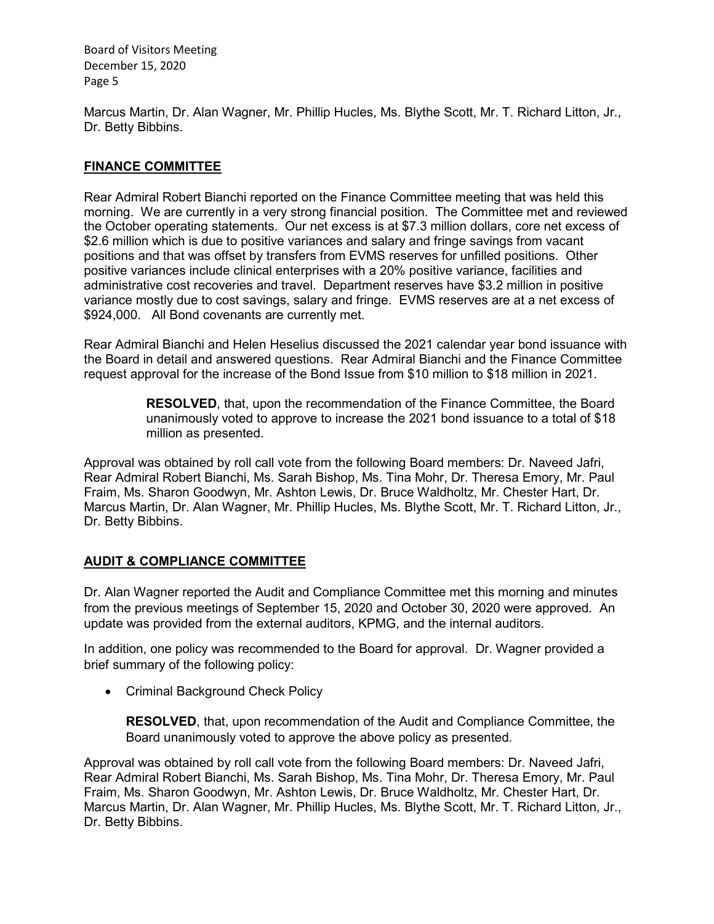Marcus Martin, Dr. Alan Wagner, Mr. Phillip Hucles, Ms. Blythe Scott, Mr. T. Richard Litton, Jr., Dr. Betty Bibbins.

# **FINANCE COMMITTEE**

Rear Admiral Robert Bianchi reported on the Finance Committee meeting that was held this morning. We are currently in a very strong financial position. The Committee met and reviewed the October operating statements. Our net excess is at \$7.3 million dollars, core net excess of \$2.6 million which is due to positive variances and salary and fringe savings from vacant positions and that was offset by transfers from EVMS reserves for unfilled positions. Other positive variances include clinical enterprises with a 20% positive variance, facilities and administrative cost recoveries and travel. Department reserves have \$3.2 million in positive variance mostly due to cost savings, salary and fringe. EVMS reserves are at a net excess of \$924,000. All Bond covenants are currently met.

Rear Admiral Bianchi and Helen Heselius discussed the 2021 calendar year bond issuance with the Board in detail and answered questions. Rear Admiral Bianchi and the Finance Committee request approval for the increase of the Bond Issue from \$10 million to \$18 million in 2021.

> **RESOLVED**, that, upon the recommendation of the Finance Committee, the Board unanimously voted to approve to increase the 2021 bond issuance to a total of \$18 million as presented.

Approval was obtained by roll call vote from the following Board members: Dr. Naveed Jafri, Rear Admiral Robert Bianchi, Ms. Sarah Bishop, Ms. Tina Mohr, Dr. Theresa Emory, Mr. Paul Fraim, Ms. Sharon Goodwyn, Mr. Ashton Lewis, Dr. Bruce Waldholtz, Mr. Chester Hart, Dr. Marcus Martin, Dr. Alan Wagner, Mr. Phillip Hucles, Ms. Blythe Scott, Mr. T. Richard Litton, Jr., Dr. Betty Bibbins.

# **AUDIT & COMPLIANCE COMMITTEE**

Dr. Alan Wagner reported the Audit and Compliance Committee met this morning and minutes from the previous meetings of September 15, 2020 and October 30, 2020 were approved. An update was provided from the external auditors, KPMG, and the internal auditors.

In addition, one policy was recommended to the Board for approval. Dr. Wagner provided a brief summary of the following policy:

• Criminal Background Check Policy

**RESOLVED**, that, upon recommendation of the Audit and Compliance Committee, the Board unanimously voted to approve the above policy as presented.

Approval was obtained by roll call vote from the following Board members: Dr. Naveed Jafri, Rear Admiral Robert Bianchi, Ms. Sarah Bishop, Ms. Tina Mohr, Dr. Theresa Emory, Mr. Paul Fraim, Ms. Sharon Goodwyn, Mr. Ashton Lewis, Dr. Bruce Waldholtz, Mr. Chester Hart, Dr. Marcus Martin, Dr. Alan Wagner, Mr. Phillip Hucles, Ms. Blythe Scott, Mr. T. Richard Litton, Jr., Dr. Betty Bibbins.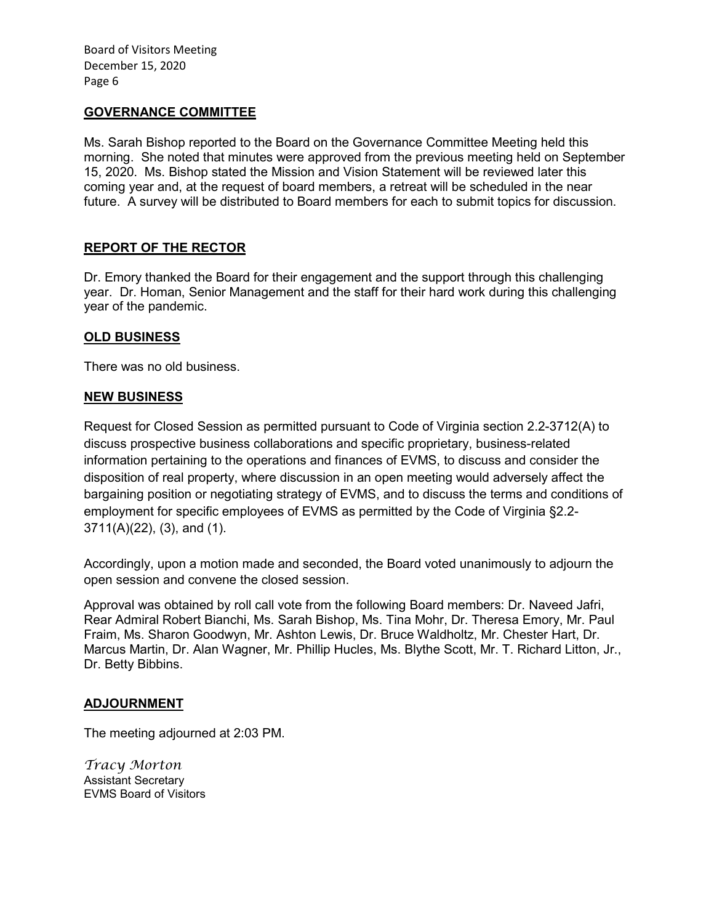#### **GOVERNANCE COMMITTEE**

Ms. Sarah Bishop reported to the Board on the Governance Committee Meeting held this morning. She noted that minutes were approved from the previous meeting held on September 15, 2020. Ms. Bishop stated the Mission and Vision Statement will be reviewed later this coming year and, at the request of board members, a retreat will be scheduled in the near future. A survey will be distributed to Board members for each to submit topics for discussion.

# **REPORT OF THE RECTOR**

Dr. Emory thanked the Board for their engagement and the support through this challenging year. Dr. Homan, Senior Management and the staff for their hard work during this challenging year of the pandemic.

#### **OLD BUSINESS**

There was no old business.

#### **NEW BUSINESS**

Request for Closed Session as permitted pursuant to Code of Virginia section 2.2-3712(A) to discuss prospective business collaborations and specific proprietary, business-related information pertaining to the operations and finances of EVMS, to discuss and consider the disposition of real property, where discussion in an open meeting would adversely affect the bargaining position or negotiating strategy of EVMS, and to discuss the terms and conditions of employment for specific employees of EVMS as permitted by the Code of Virginia §2.2- 3711(A)(22), (3), and (1).

Accordingly, upon a motion made and seconded, the Board voted unanimously to adjourn the open session and convene the closed session.

Approval was obtained by roll call vote from the following Board members: Dr. Naveed Jafri, Rear Admiral Robert Bianchi, Ms. Sarah Bishop, Ms. Tina Mohr, Dr. Theresa Emory, Mr. Paul Fraim, Ms. Sharon Goodwyn, Mr. Ashton Lewis, Dr. Bruce Waldholtz, Mr. Chester Hart, Dr. Marcus Martin, Dr. Alan Wagner, Mr. Phillip Hucles, Ms. Blythe Scott, Mr. T. Richard Litton, Jr., Dr. Betty Bibbins.

#### **ADJOURNMENT**

The meeting adjourned at 2:03 PM.

*Tracy Morton* Assistant Secretary EVMS Board of Visitors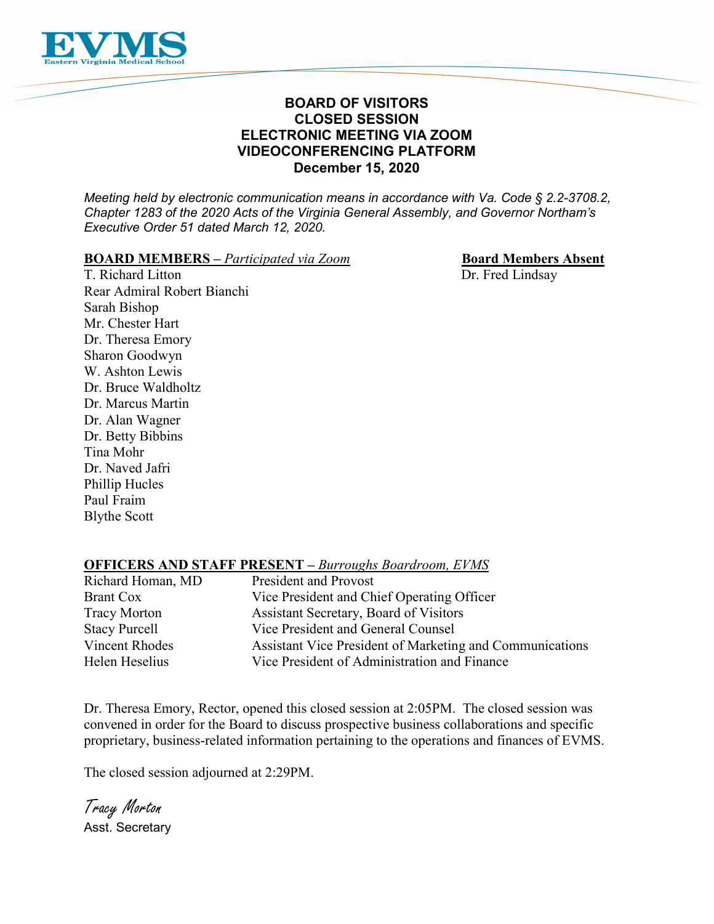

# **BOARD OF VISITORS CLOSED SESSION ELECTRONIC MEETING VIA ZOOM VIDEOCONFERENCING PLATFORM December 15, 2020**

*Meeting held by electronic communication means in accordance with Va. Code § 2.2-3708.2, Chapter 1283 of the 2020 Acts of the Virginia General Assembly, and Governor Northam's Executive Order 51 dated March 12, 2020.*

#### **BOARD MEMBERS** – *Participated via Zoom* **Board Members Absent**

T. Richard Litton Dr. Fred Lindsay Rear Admiral Robert Bianchi Sarah Bishop Mr. Chester Hart Dr. Theresa Emory Sharon Goodwyn W. Ashton Lewis Dr. Bruce Waldholtz Dr. Marcus Martin Dr. Alan Wagner Dr. Betty Bibbins Tina Mohr Dr. Naved Jafri Phillip Hucles Paul Fraim Blythe Scott

# **OFFICERS AND STAFF PRESENT –** *Burroughs Boardroom, EVMS*

| Richard Homan, MD     | <b>President and Provost</b>                             |
|-----------------------|----------------------------------------------------------|
| <b>Brant Cox</b>      | Vice President and Chief Operating Officer               |
| <b>Tracy Morton</b>   | Assistant Secretary, Board of Visitors                   |
| <b>Stacy Purcell</b>  | Vice President and General Counsel                       |
| <b>Vincent Rhodes</b> | Assistant Vice President of Marketing and Communications |
| Helen Heselius        | Vice President of Administration and Finance             |

Dr. Theresa Emory, Rector, opened this closed session at 2:05PM. The closed session was convened in order for the Board to discuss prospective business collaborations and specific proprietary, business-related information pertaining to the operations and finances of EVMS.

The closed session adjourned at 2:29PM.

Tracy Morton Asst. Secretary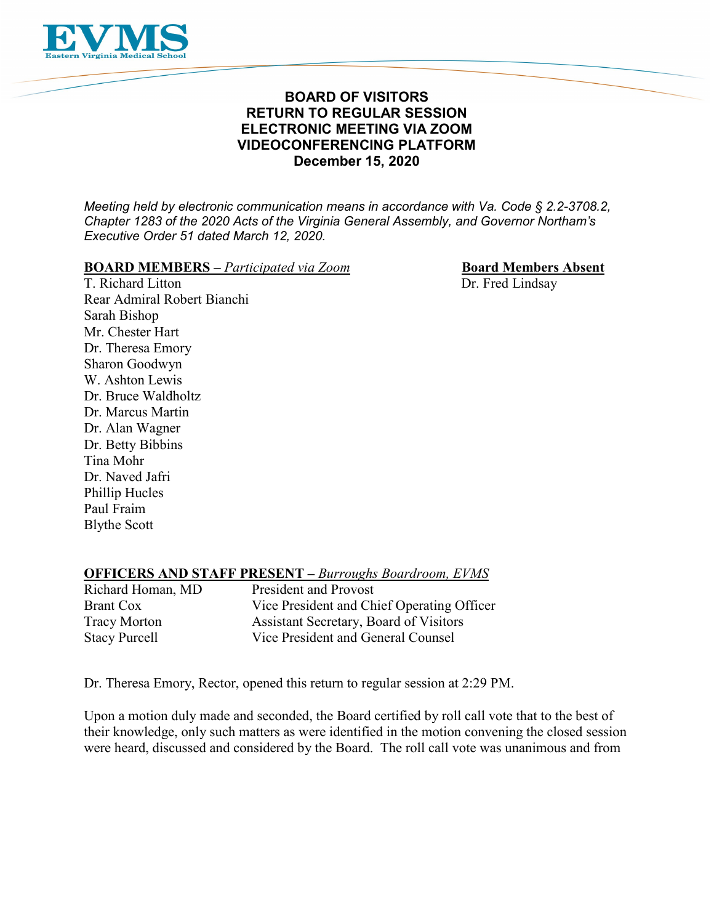

# **BOARD OF VISITORS RETURN TO REGULAR SESSION ELECTRONIC MEETING VIA ZOOM VIDEOCONFERENCING PLATFORM December 15, 2020**

*Meeting held by electronic communication means in accordance with Va. Code § 2.2-3708.2, Chapter 1283 of the 2020 Acts of the Virginia General Assembly, and Governor Northam's Executive Order 51 dated March 12, 2020.*

# **BOARD MEMBERS** – *Participated via Zoom* **Board Members Absent**<br> **T. Richard Litton Dr. Fred Lindsav**

Dr. Fred Lindsay

Rear Admiral Robert Bianchi Sarah Bishop Mr. Chester Hart Dr. Theresa Emory Sharon Goodwyn W. Ashton Lewis Dr. Bruce Waldholtz Dr. Marcus Martin Dr. Alan Wagner Dr. Betty Bibbins Tina Mohr Dr. Naved Jafri Phillip Hucles Paul Fraim Blythe Scott

# **OFFICERS AND STAFF PRESENT –** *Burroughs Boardroom, EVMS*

| Richard Homan, MD    | <b>President and Provost</b>                  |
|----------------------|-----------------------------------------------|
| <b>Brant Cox</b>     | Vice President and Chief Operating Officer    |
| <b>Tracy Morton</b>  | <b>Assistant Secretary, Board of Visitors</b> |
| <b>Stacy Purcell</b> | Vice President and General Counsel            |

Dr. Theresa Emory, Rector, opened this return to regular session at 2:29 PM.

Upon a motion duly made and seconded, the Board certified by roll call vote that to the best of their knowledge, only such matters as were identified in the motion convening the closed session were heard, discussed and considered by the Board. The roll call vote was unanimous and from